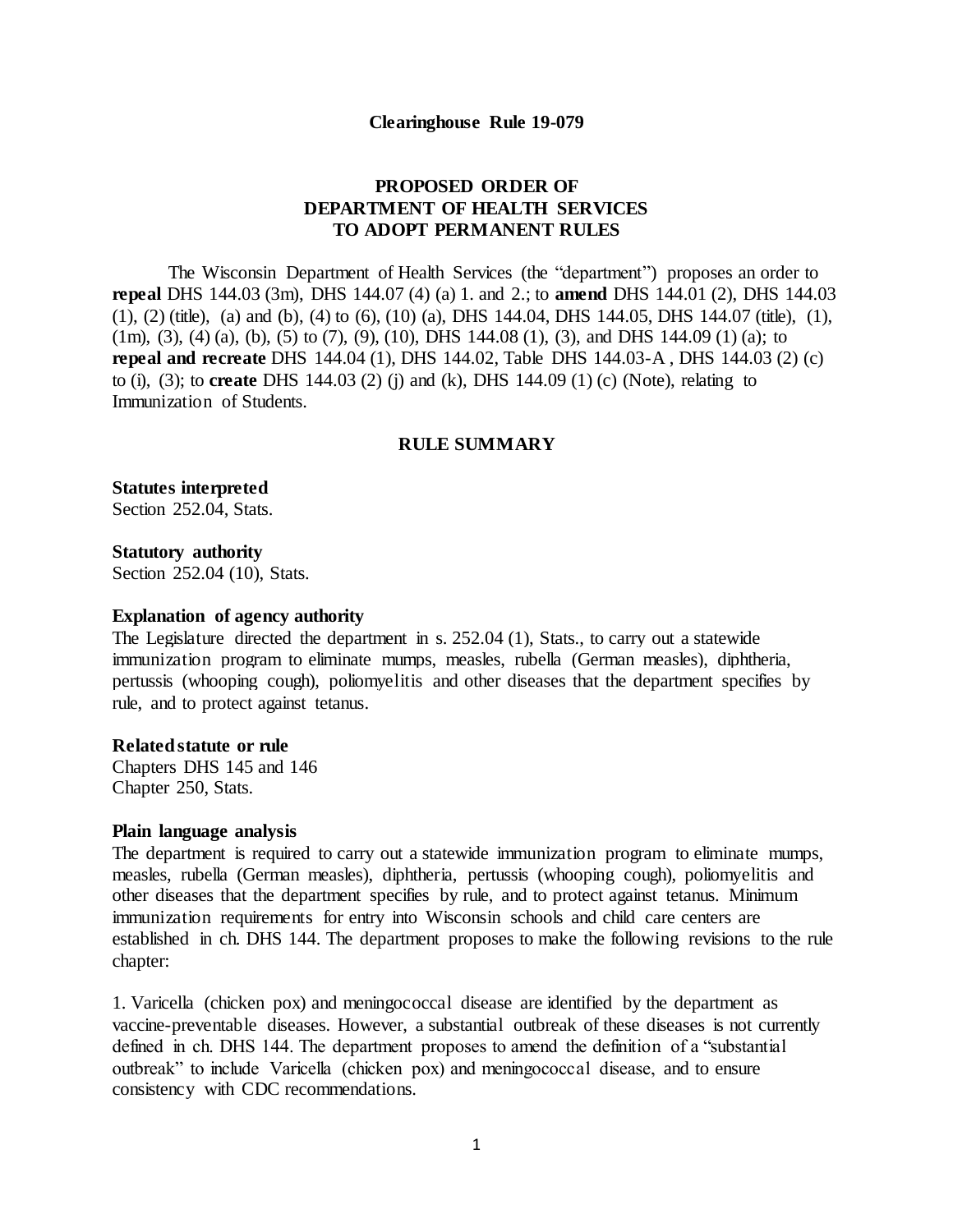#### **Clearinghouse Rule 19-079**

# **PROPOSED ORDER OF DEPARTMENT OF HEALTH SERVICES TO ADOPT PERMANENT RULES**

The Wisconsin Department of Health Services (the "department") proposes an order to **repeal** DHS 144.03 (3m), DHS 144.07 (4) (a) 1. and 2.; to **amend** DHS 144.01 (2), DHS 144.03 (1), (2) (title), (a) and (b), (4) to (6), (10) (a), DHS 144.04, DHS 144.05, DHS 144.07 (title), (1), (1m), (3), (4) (a), (b), (5) to (7), (9), (10), DHS 144.08 (1), (3), and DHS 144.09 (1) (a): to **repeal and recreate** DHS 144.04 (1), DHS 144.02, Table DHS 144.03-A , DHS 144.03 (2) (c) to (i), (3); to **create** DHS 144.03 (2) (j) and (k), DHS 144.09 (1) (c) (Note), relating to Immunization of Students.

#### **RULE SUMMARY**

**Statutes interpreted**  Section 252.04, Stats.

**Statutory authority**  Section 252.04 (10), Stats.

#### **Explanation of agency authority**

The Legislature directed the department in s. 252.04 (1), Stats., to carry out a statewide immunization program to eliminate mumps, measles, rubella (German measles), diphtheria, pertussis (whooping cough), poliomyelitis and other diseases that the department specifies by rule, and to protect against tetanus.

#### **Related statute or rule**

Chapters DHS 145 and 146 Chapter 250, Stats.

#### **Plain language analysis**

The department is required to carry out a statewide immunization program to eliminate mumps, measles, rubella (German measles), diphtheria, pertussis (whooping cough), poliomyelitis and other diseases that the department specifies by rule, and to protect against tetanus. Minimum immunization requirements for entry into Wisconsin schools and child care centers are established in ch. DHS 144. The department proposes to make the following revisions to the rule chapter:

1. Varicella (chicken pox) and meningococcal disease are identified by the department as vaccine-preventable diseases. However, a substantial outbreak of these diseases is not currently defined in ch. DHS 144. The department proposes to amend the definition of a "substantial outbreak" to include Varicella (chicken pox) and meningococcal disease, and to ensure consistency with CDC recommendations.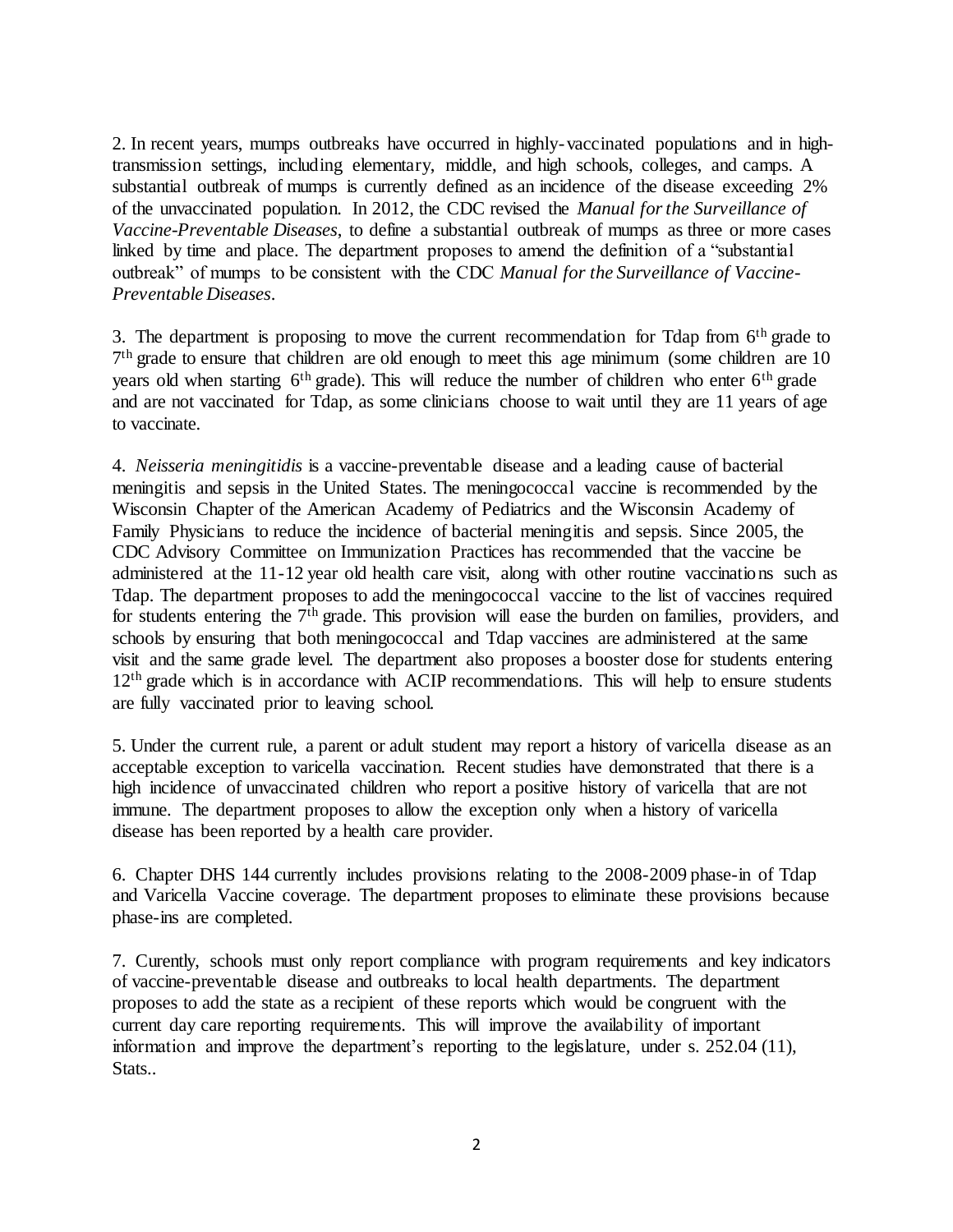2. In recent years, mumps outbreaks have occurred in highly-vaccinated populations and in hightransmission settings, including elementary, middle, and high schools, colleges, and camps. A substantial outbreak of mumps is currently defined as an incidence of the disease exceeding 2% of the unvaccinated population. In 2012, the CDC revised the *Manual for the Surveillance of Vaccine-Preventable Diseases*, to define a substantial outbreak of mumps as three or more cases linked by time and place. The department proposes to amend the definition of a "substantial outbreak" of mumps to be consistent with the CDC *Manual for the Surveillance of Vaccine-Preventable Diseases*.

3. The department is proposing to move the current recommendation for Tdap from  $6<sup>th</sup>$  grade to <sup>7th</sup> grade to ensure that children are old enough to meet this age minimum (some children are 10 years old when starting  $6<sup>th</sup>$  grade). This will reduce the number of children who enter  $6<sup>th</sup>$  grade and are not vaccinated for Tdap, as some clinicians choose to wait until they are 11 years of age to vaccinate.

4. *Neisseria meningitidis* is a vaccine-preventable disease and a leading cause of bacterial meningitis and sepsis in the United States. The meningococcal vaccine is recommended by the Wisconsin Chapter of the American Academy of Pediatrics and the Wisconsin Academy of Family Physicians to reduce the incidence of bacterial meningitis and sepsis. Since 2005, the CDC Advisory Committee on Immunization Practices has recommended that the vaccine be administered at the 11-12 year old health care visit, along with other routine vaccinations such as Tdap. The department proposes to add the meningococcal vaccine to the list of vaccines required for students entering the 7th grade. This provision will ease the burden on families, providers, and schools by ensuring that both meningococcal and Tdap vaccines are administered at the same visit and the same grade level. The department also proposes a booster dose for students entering 12<sup>th</sup> grade which is in accordance with ACIP recommendations. This will help to ensure students are fully vaccinated prior to leaving school.

5. Under the current rule, a parent or adult student may report a history of varicella disease as an acceptable exception to varicella vaccination. Recent studies have demonstrated that there is a high incidence of unvaccinated children who report a positive history of varicella that are not immune. The department proposes to allow the exception only when a history of varicella disease has been reported by a health care provider.

6. Chapter DHS 144 currently includes provisions relating to the 2008-2009 phase-in of Tdap and Varicella Vaccine coverage. The department proposes to eliminate these provisions because phase-ins are completed.

7. Curently, schools must only report compliance with program requirements and key indicators of vaccine-preventable disease and outbreaks to local health departments. The department proposes to add the state as a recipient of these reports which would be congruent with the current day care reporting requirements. This will improve the availability of important information and improve the department's reporting to the legislature, under s. 252.04 (11), Stats...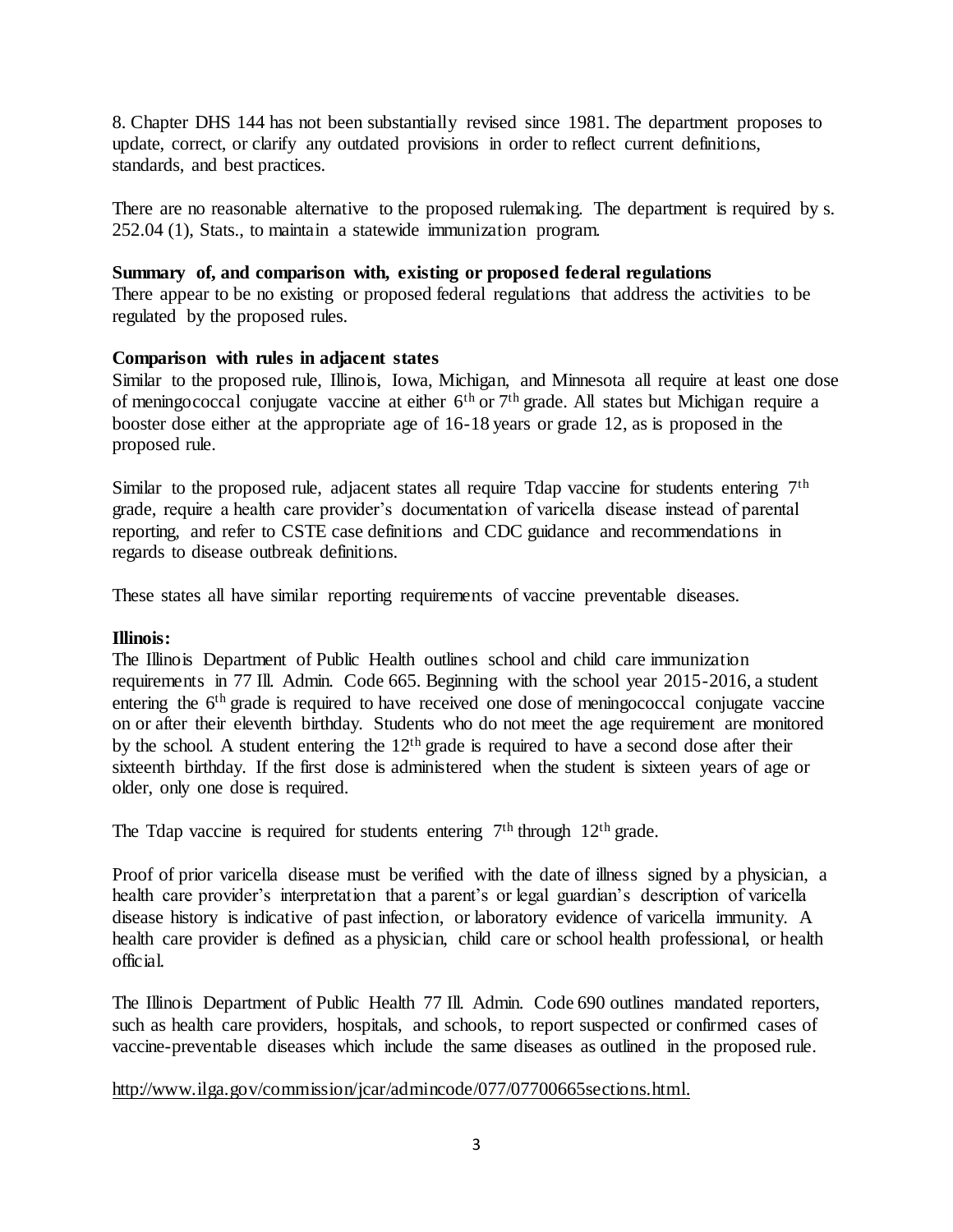8. Chapter DHS 144 has not been substantially revised since 1981. The department proposes to update, correct, or clarify any outdated provisions in order to reflect current definitions, standards, and best practices.

There are no reasonable alternative to the proposed rulemaking. The department is required by s. 252.04 (1), Stats., to maintain a statewide immunization program.

# **Summary of, and comparison with, existing or proposed federal regulations**

There appear to be no existing or proposed federal regulations that address the activities to be regulated by the proposed rules.

# **Comparison with rules in adjacent states**

Similar to the proposed rule, Illinois, Iowa, Michigan, and Minnesota all require at least one dose of meningococcal conjugate vaccine at either  $6<sup>th</sup>$  or  $7<sup>th</sup>$  grade. All states but Michigan require a booster dose either at the appropriate age of 16-18 years or grade 12, as is proposed in the proposed rule.

Similar to the proposed rule, adjacent states all require Tdap vaccine for students entering 7<sup>th</sup> grade, require a health care provider's documentation of varicella disease instead of parental reporting, and refer to CSTE case definitions and CDC guidance and recommendations in regards to disease outbreak definitions.

These states all have similar reporting requirements of vaccine preventable diseases.

### **Illinois:**

The Illinois Department of Public Health outlines school and child care immunization requirements in 77 Ill. Admin. Code 665. Beginning with the school year 2015-2016, a student entering the 6<sup>th</sup> grade is required to have received one dose of meningococcal conjugate vaccine on or after their eleventh birthday. Students who do not meet the age requirement are monitored by the school. A student entering the  $12<sup>th</sup>$  grade is required to have a second dose after their sixteenth birthday. If the first dose is administered when the student is sixteen years of age or older, only one dose is required.

The Tdap vaccine is required for students entering  $7<sup>th</sup>$  through  $12<sup>th</sup>$  grade.

Proof of prior varicella disease must be verified with the date of illness signed by a physician, a health care provider's interpretation that a parent's or legal guardian's description of varicella disease history is indicative of past infection, or laboratory evidence of varicella immunity. A health care provider is defined as a physician, child care or school health professional, or health official.

The Illinois Department of Public Health 77 Ill. Admin. Code 690 outlines mandated reporters, such as health care providers, hospitals, and schools, to report suspected or confirmed cases of vaccine-preventable diseases which include the same diseases as outlined in the proposed rule.

[http://www.ilga.gov/commission/jcar/admincode/077/07700665sections.html.](http://www.ilga.gov/commission/jcar/admincode/077/07700665sections.html)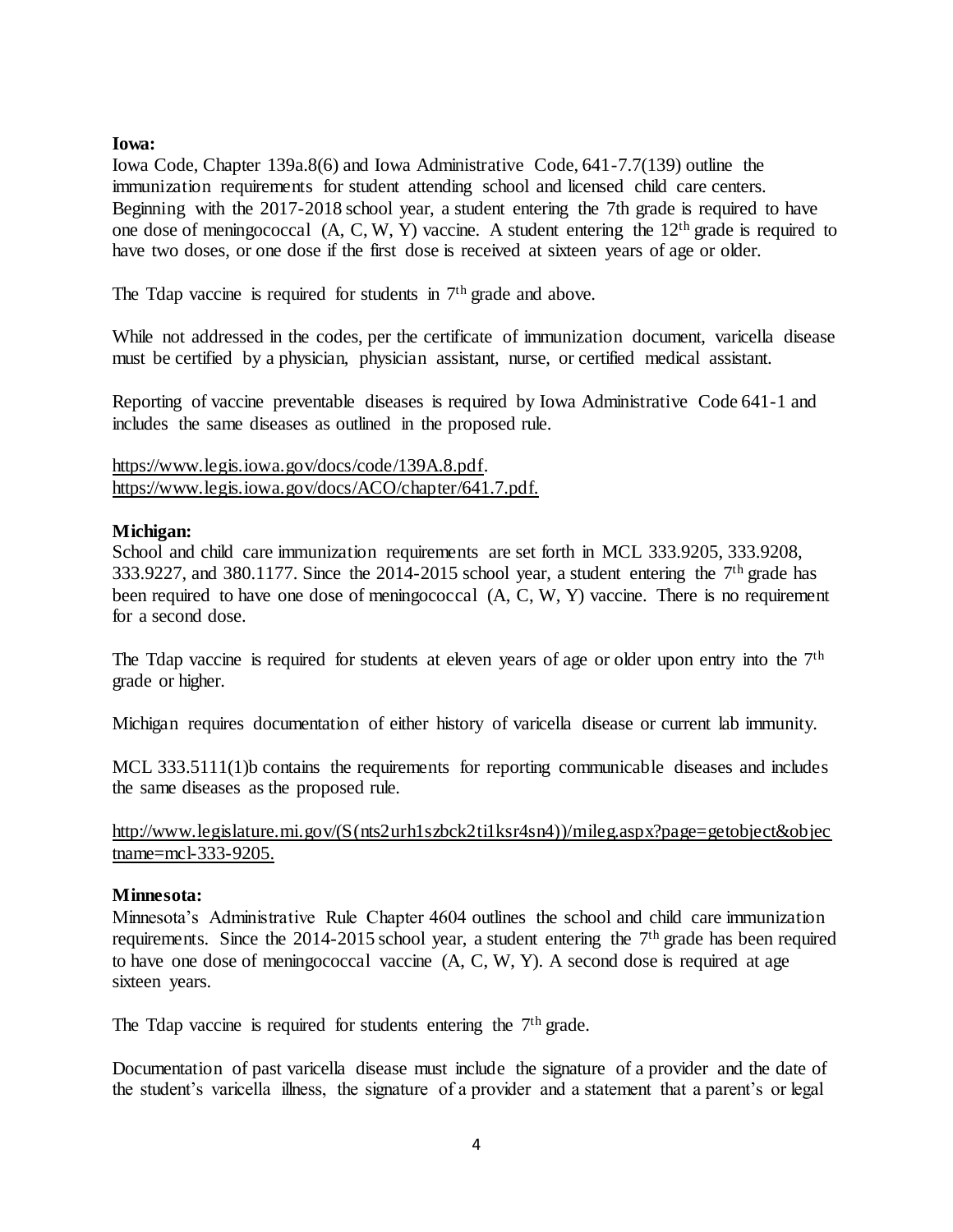## **Iowa:**

Iowa Code, Chapter 139a.8(6) and Iowa Administrative Code, 641-7.7(139) outline the immunization requirements for student attending school and licensed child care centers. Beginning with the 2017-2018 school year, a student entering the 7th grade is required to have one dose of meningococcal (A, C, W, Y) vaccine. A student entering the 12th grade is required to have two doses, or one dose if the first dose is received at sixteen years of age or older.

The Tdap vaccine is required for students in 7<sup>th</sup> grade and above.

While not addressed in the codes, per the certificate of immunization document, varicella disease must be certified by a physician, physician assistant, nurse, or certified medical assistant.

Reporting of vaccine preventable diseases is required by Iowa Administrative Code 641-1 and includes the same diseases as outlined in the proposed rule.

[https://www.legis.iowa.gov/docs/code/139A.8.pdf.](https://www.legis.iowa.gov/docs/code/139A.8.pdf) [https://www.legis.iowa.gov/docs/ACO/chapter/641.7.pdf.](https://www.legis.iowa.gov/docs/ACO/chapter/641.7.pdf)

## **Michigan:**

School and child care immunization requirements are set forth in MCL 333.9205, 333.9208, 333.9227, and 380.1177. Since the 2014-2015 school year, a student entering the  $7<sup>th</sup>$  grade has been required to have one dose of meningococcal (A, C, W, Y) vaccine. There is no requirement for a second dose.

The Tdap vaccine is required for students at eleven years of age or older upon entry into the  $7<sup>th</sup>$ grade or higher.

Michigan requires documentation of either history of varicella disease or current lab immunity.

MCL 333.5111(1)b contains the requirements for reporting communicable diseases and includes the same diseases as the proposed rule.

# [http://www.legislature.mi.gov/\(S\(nts2urh1szbck2ti1ksr4sn4\)\)/mileg.aspx?page=getobject&objec](http://www.legislature.mi.gov/(S(nts2urh1szbck2ti1ksr4sn4))/mileg.aspx?page=getobject&objectname=mcl-333-9205) [tname=mcl-333-9205.](http://www.legislature.mi.gov/(S(nts2urh1szbck2ti1ksr4sn4))/mileg.aspx?page=getobject&objectname=mcl-333-9205)

### **Minnesota:**

Minnesota's Administrative Rule Chapter 4604 outlines the school and child care immunization requirements. Since the 2014-2015 school year, a student entering the 7<sup>th</sup> grade has been required to have one dose of meningococcal vaccine (A, C, W, Y). A second dose is required at age sixteen years.

The Tdap vaccine is required for students entering the  $7<sup>th</sup>$  grade.

Documentation of past varicella disease must include the signature of a provider and the date of the student's varicella illness, the signature of a provider and a statement that a parent's or legal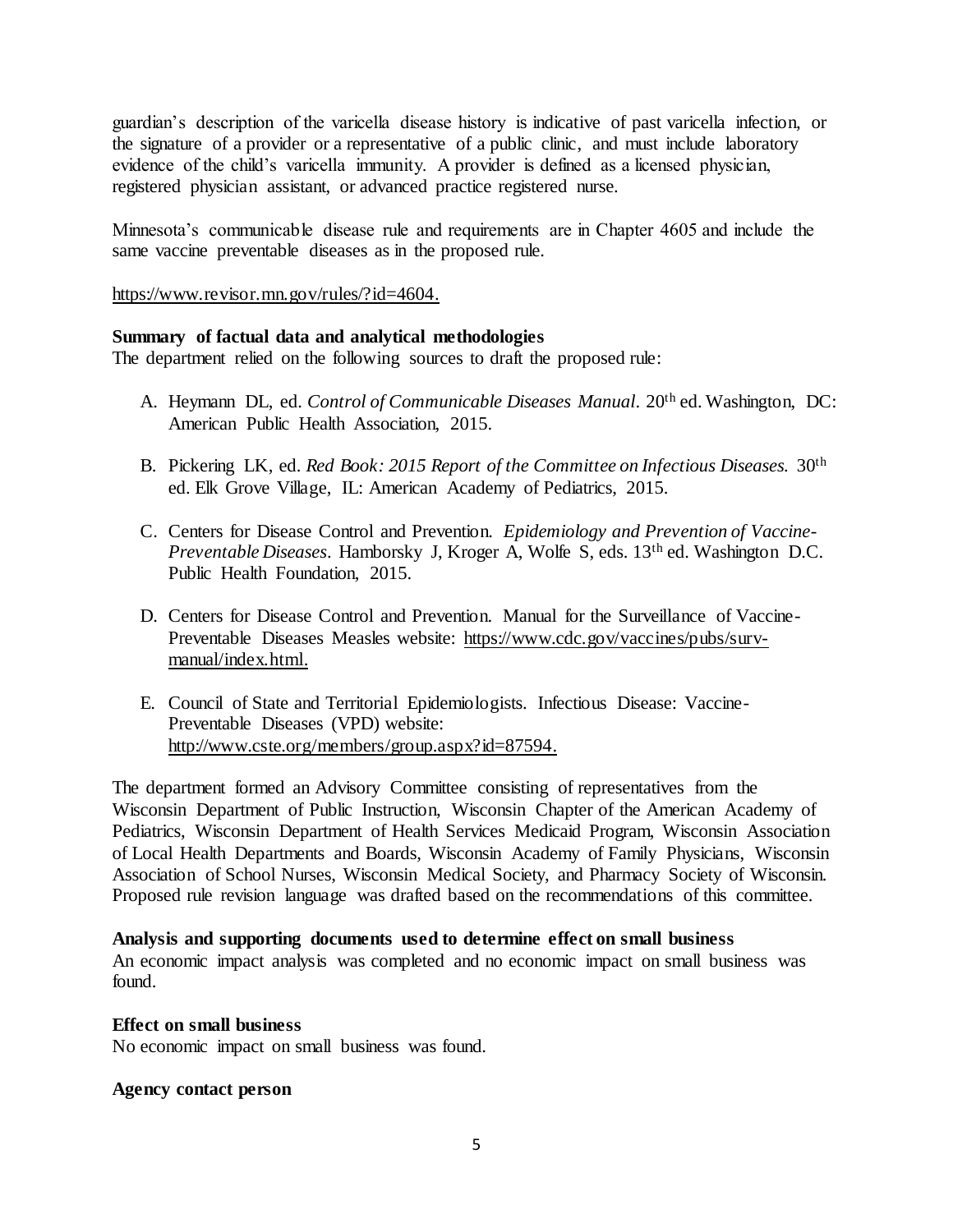guardian's description of the varicella disease history is indicative of past varicella infection, or the signature of a provider or a representative of a public clinic, and must include laboratory evidence of the child's varicella immunity. A provider is defined as a licensed physician, registered physician assistant, or advanced practice registered nurse.

Minnesota's communicable disease rule and requirements are in Chapter 4605 and include the same vaccine preventable diseases as in the proposed rule.

[https://www.revisor.mn.gov/rules/?id=4604.](https://www.revisor.mn.gov/rules/?id=4604)

# **Summary of factual data and analytical methodologies**

The department relied on the following sources to draft the proposed rule:

- A. Heymann DL, ed. *Control of Communicable Diseases Manual*. 20<sup>th</sup> ed. Washington. DC: American Public Health Association, 2015.
- B. Pickering LK, ed. *Red Book: 2015 Report of the Committee on Infectious Diseases.* 30th ed. Elk Grove Village, IL: American Academy of Pediatrics, 2015.
- C. Centers for Disease Control and Prevention. *Epidemiology and Prevention of Vaccine-Preventable Diseases*. Hamborsky J, Kroger A, Wolfe S, eds. 13th ed. Washington D.C. Public Health Foundation, 2015.
- D. Centers for Disease Control and Prevention. Manual for the Surveillance of Vaccine-Preventable Diseases Measles website: [https://www.cdc.gov/vaccines/pubs/surv](https://www.cdc.gov/vaccines/pubs/surv-manual/index.html)[manual/index.html.](https://www.cdc.gov/vaccines/pubs/surv-manual/index.html)
- E. Council of State and Territorial Epidemiologists. Infectious Disease: Vaccine-Preventable Diseases (VPD) website: [http://www.cste.org/members/group.aspx?id=87594.](http://www.cste.org/members/group.aspx?id=87594)

The department formed an Advisory Committee consisting of representatives from the Wisconsin Department of Public Instruction, Wisconsin Chapter of the American Academy of Pediatrics, Wisconsin Department of Health Services Medicaid Program, Wisconsin Association of Local Health Departments and Boards, Wisconsin Academy of Family Physicians, Wisconsin Association of School Nurses, Wisconsin Medical Society, and Pharmacy Society of Wisconsin. Proposed rule revision language was drafted based on the recommendations of this committee.

### **Analysis and supporting documents used to determine effect on small business**

An economic impact analysis was completed and no economic impact on small business was found.

### **Effect on small business**

No economic impact on small business was found.

### **Agency contact person**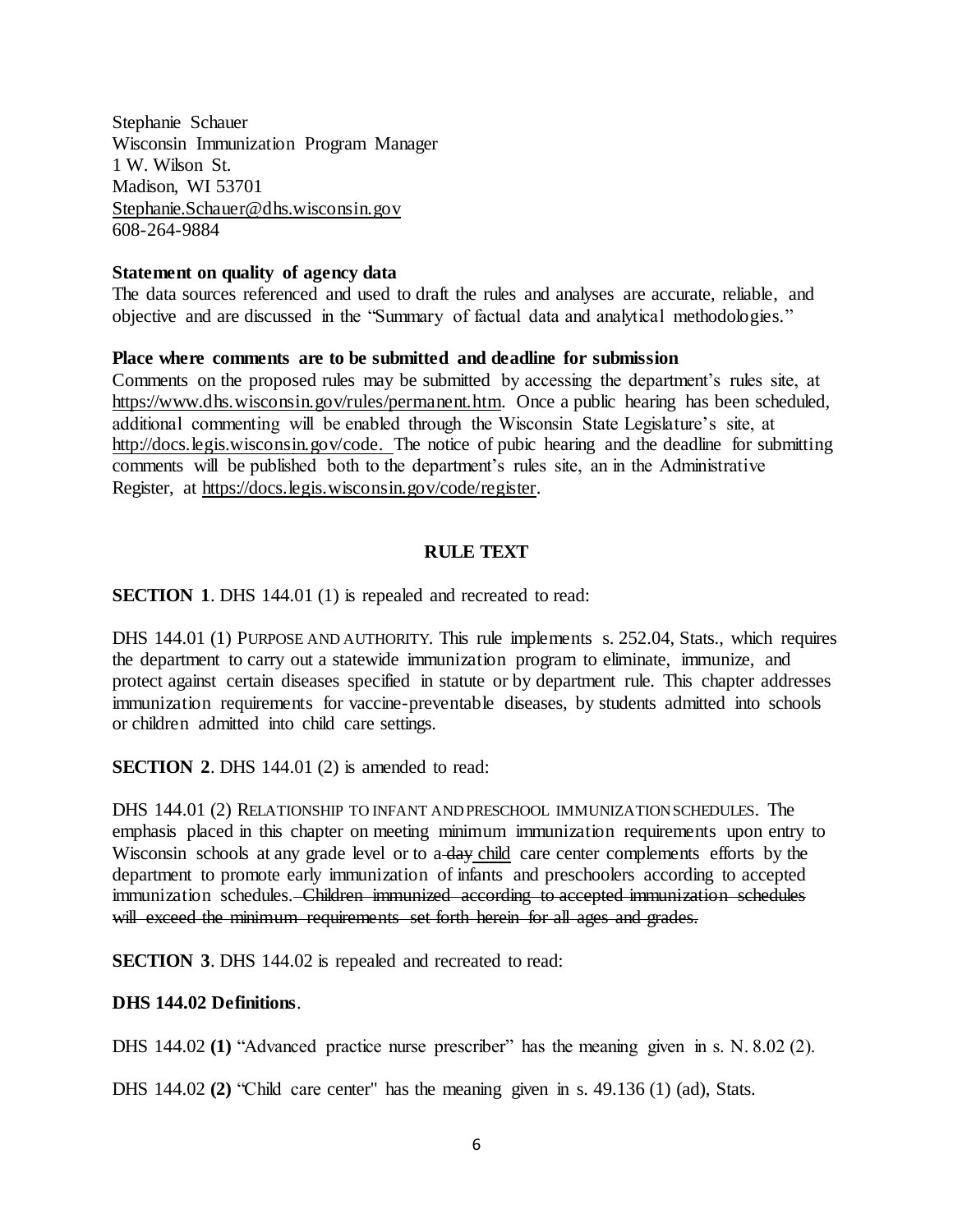Stephanie Schauer Wisconsin Immunization Program Manager 1 W. Wilson St. Madison, WI 53701 [Stephanie.Schauer@dhs.wisconsin.gov](mailto:Stephanie.Schauer@dhs.wisconsin.gov) 608-264-9884

### **Statement on quality of agency data**

The data sources referenced and used to draft the rules and analyses are accurate, reliable, and objective and are discussed in the "Summary of factual data and analytical methodologies."

## **Place where comments are to be submitted and deadline for submission**

Comments on the proposed rules may be submitted by accessing the department's rules site, at [https://www.dhs.wisconsin.gov/rules/permanent.htm.](https://www.dhs.wisconsin.gov/rules/permanent.htm) Once a public hearing has been scheduled, additional commenting will be enabled through the Wisconsin State Legislature's site, at [http://docs.legis.wisconsin.gov/code.](http://docs.legis.wisconsin.gov/code) The notice of pubic hearing and the deadline for submitting comments will be published both to the department's rules site, an in the Administrative Register, at [https://docs.legis.wisconsin.gov/code/register.](https://docs.legis.wisconsin.gov/code/register)

# **RULE TEXT**

**SECTION 1.** DHS 144.01 (1) is repealed and recreated to read:

DHS 144.01 (1) PURPOSE AND AUTHORITY. This rule implements s. 252.04, Stats., which requires the department to carry out a statewide immunization program to eliminate, immunize, and protect against certain diseases specified in statute or by department rule. This chapter addresses immunization requirements for vaccine-preventable diseases, by students admitted into schools or children admitted into child care settings.

**SECTION 2.** DHS 144.01 (2) is amended to read:

DHS 144.01 (2) RELATIONSHIP TO INFANT AND PRESCHOOL IMMUNIZATION SCHEDULES. The emphasis placed in this chapter on meeting minimum immunization requirements upon entry to Wisconsin schools at any grade level or to a day child care center complements efforts by the department to promote early immunization of infants and preschoolers according to accepted immunization schedules. Children immunized according to accepted immunization schedules will exceed the minimum requirements set forth herein for all ages and grades.

**SECTION 3.** DHS 144.02 is repealed and recreated to read:

### **DHS 144.02 Definitions**.

DHS 144.02 **(1)** "Advanced practice nurse prescriber" has the meaning given in s. N. 8.02 (2).

DHS 144.02 **(2)** "Child care center" has the meaning given in s. 49.136 (1) (ad), Stats.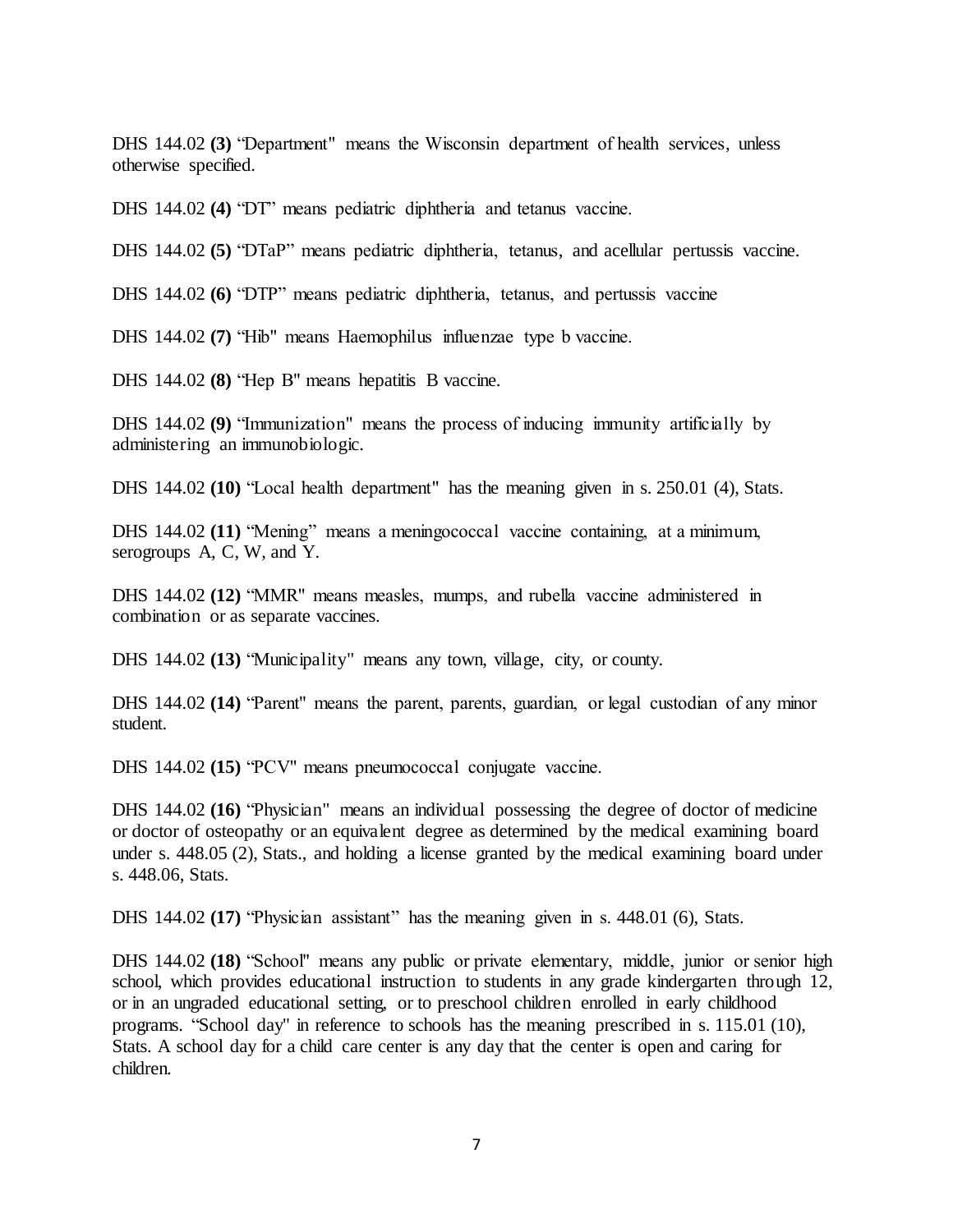DHS 144.02 **(3)** "Department" means the Wisconsin department of health services, unless otherwise specified.

DHS 144.02 **(4)** "DT" means pediatric diphtheria and tetanus vaccine.

DHS 144.02 **(5)** "DTaP" means pediatric diphtheria, tetanus, and acellular pertussis vaccine.

DHS 144.02 **(6)** "DTP" means pediatric diphtheria, tetanus, and pertussis vaccine

DHS 144.02 **(7)** "Hib" means Haemophilus influenzae type b vaccine.

DHS 144.02 **(8)** "Hep B" means hepatitis B vaccine.

DHS 144.02 **(9)** "Immunization" means the process of inducing immunity artificially by administering an immunobiologic.

DHS 144.02 **(10)** "Local health department" has the meaning given in s. 250.01 (4), Stats.

DHS 144.02 (11) "Mening" means a meningococcal vaccine containing, at a minimum, serogroups A, C, W, and Y.

DHS 144.02 **(12)** "MMR" means measles, mumps, and rubella vaccine administered in combination or as separate vaccines.

DHS 144.02 **(13)** "Municipality" means any town, village, city, or county.

DHS 144.02 **(14)** "Parent" means the parent, parents, guardian, or legal custodian of any minor student.

DHS 144.02 **(15)** "PCV" means pneumococcal conjugate vaccine.

DHS 144.02 **(16)** "Physician" means an individual possessing the degree of doctor of medicine or doctor of osteopathy or an equivalent degree as determined by the medical examining board under s. 448.05 (2), Stats., and holding a license granted by the medical examining board under s. 448.06, Stats.

DHS 144.02 (17) *'Physician assistant''* has the meaning given in s. 448.01 (6), Stats.

DHS 144.02 **(18)** "School" means any public or private elementary, middle, junior or senior high school, which provides educational instruction to students in any grade kindergarten through 12, or in an ungraded educational setting, or to preschool children enrolled in early childhood programs. "School day" in reference to schools has the meaning prescribed in s. 115.01 (10), Stats. A school day for a child care center is any day that the center is open and caring for children.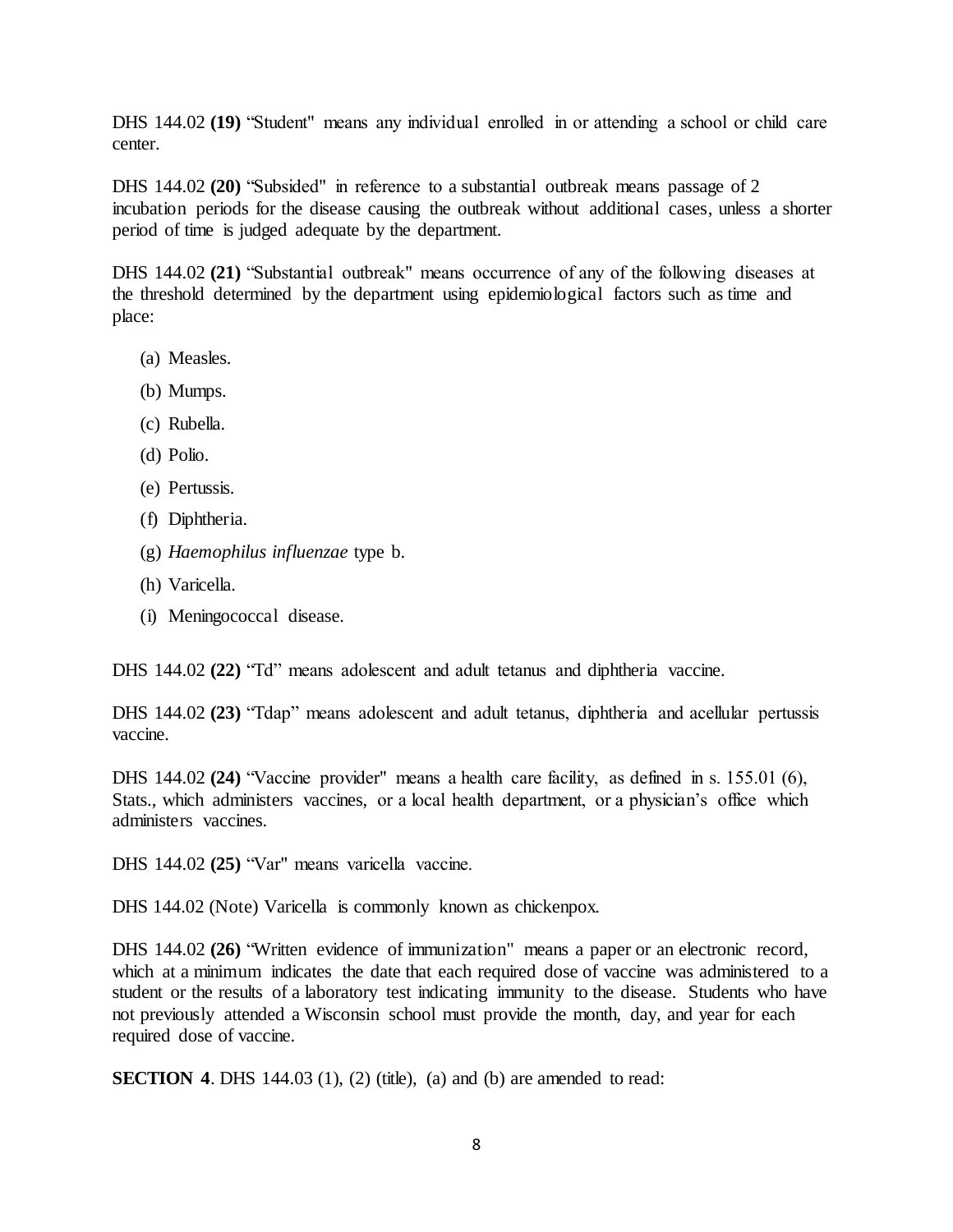DHS 144.02 **(19)** "Student" means any individual enrolled in or attending a school or child care center.

DHS 144.02 **(20)** "Subsided" in reference to a substantial outbreak means passage of 2 incubation periods for the disease causing the outbreak without additional cases, unless a shorter period of time is judged adequate by the department.

DHS 144.02 **(21)** "Substantial outbreak" means occurrence of any of the following diseases at the threshold determined by the department using epidemiological factors such as time and place:

- (a) Measles.
- (b) Mumps.
- (c) Rubella.
- (d) Polio.
- (e) Pertussis.
- (f) Diphtheria.
- (g) *Haemophilus influenzae* type b.
- (h) Varicella.
- (i) Meningococcal disease.

DHS 144.02 **(22)** "Td" means adolescent and adult tetanus and diphtheria vaccine.

DHS 144.02 **(23)** "Tdap" means adolescent and adult tetanus, diphtheria and acellular pertussis vaccine.

DHS 144.02 **(24)** "Vaccine provider" means a health care facility, as defined in s. 155.01 (6), Stats., which administers vaccines, or a local health department, or a physician's office which administers vaccines.

DHS 144.02 **(25)** "Var" means varicella vaccine.

DHS 144.02 (Note) Varicella is commonly known as chickenpox.

DHS 144.02 **(26)** "Written evidence of immunization" means a paper or an electronic record, which at a minimum indicates the date that each required dose of vaccine was administered to a student or the results of a laboratory test indicating immunity to the disease. Students who have not previously attended a Wisconsin school must provide the month, day, and year for each required dose of vaccine.

**SECTION 4.** DHS 144.03 (1), (2) (title), (a) and (b) are amended to read: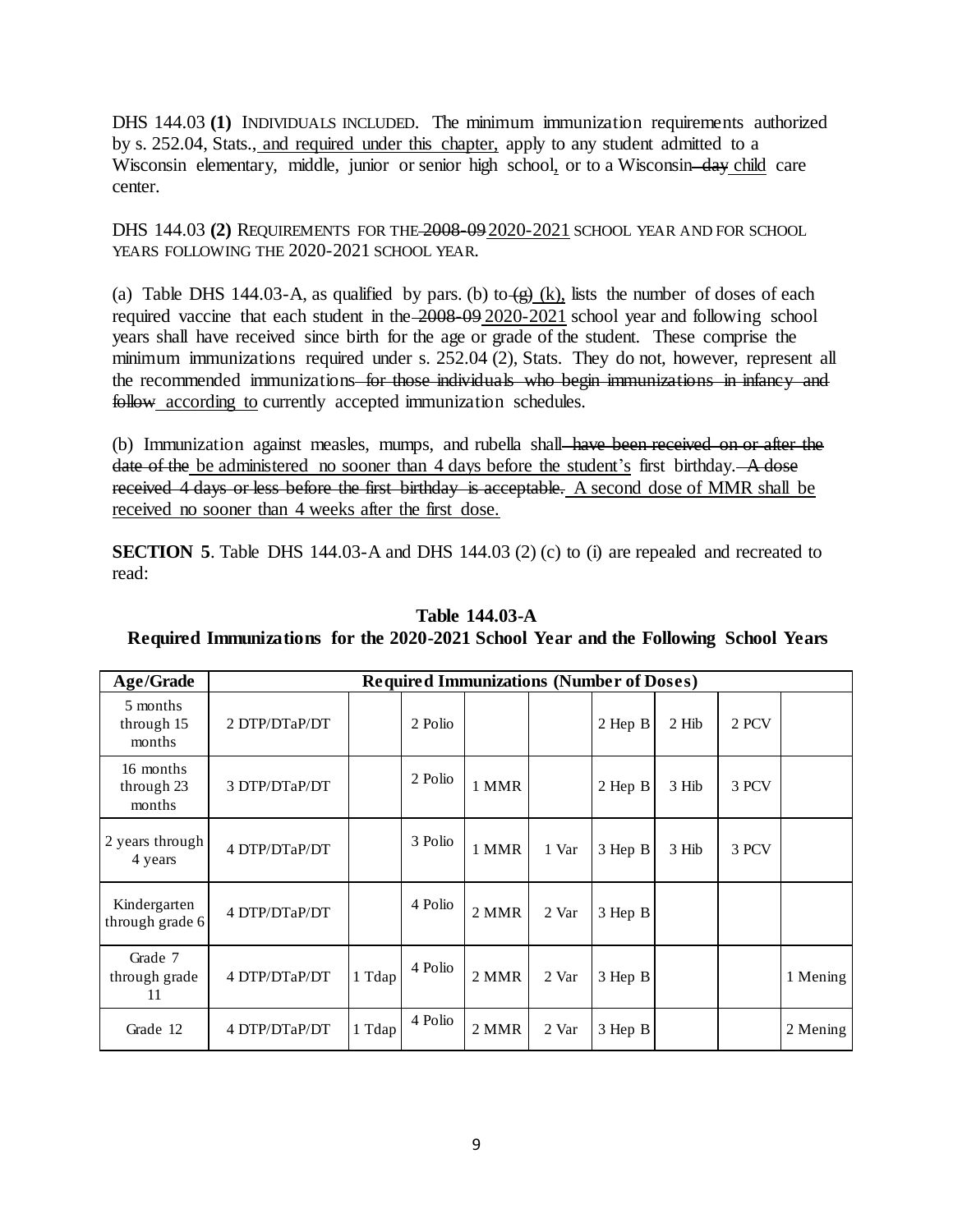DHS 144.03 (1) INDIVIDUALS INCLUDED. The minimum immunization requirements authorized by s. 252.04, Stats., and required under this chapter, apply to any student admitted to a Wisconsin elementary, middle, junior or senior high school, or to a Wisconsin-day child care center.

DHS 144.03 **(2)** REQUIREMENTS FOR THE 2008-09 2020-2021 SCHOOL YEAR AND FOR SCHOOL YEARS FOLLOWING THE 2020-2021 SCHOOL YEAR.

(a) Table DHS 144.03-A, as qualified by pars. (b) to  $\left(\frac{g}{g}\right)$  (k), lists the number of doses of each required vaccine that each student in the 2008-09 2020-2021 school year and following school years shall have received since birth for the age or grade of the student. These comprise the minimum immunizations required under s. 252.04 (2), Stats. They do not, however, represent all the recommended immunizations–for those individuals who begin immunizations in infancy and follow according to currently accepted immunization schedules.

(b) Immunization against measles, mumps, and rubella shall have been received on or after the date of the be administered no sooner than 4 days before the student's first birthday. A dose received 4 days or less before the first birthday is acceptable. A second dose of MMR shall be received no sooner than 4 weeks after the first dose.

**SECTION 5**. Table DHS 144.03-A and DHS 144.03 (2) (c) to (i) are repealed and recreated to read:

| Age/Grade                         | <b>Required Immunizations (Number of Doses)</b> |        |         |       |       |         |       |       |          |
|-----------------------------------|-------------------------------------------------|--------|---------|-------|-------|---------|-------|-------|----------|
| 5 months<br>through 15<br>months  | 2 DTP/DTaP/DT                                   |        | 2 Polio |       |       | 2 Hep B | 2 Hib | 2 PCV |          |
| 16 months<br>through 23<br>months | 3 DTP/DTaP/DT                                   |        | 2 Polio | 1 MMR |       | 2 Hep B | 3 Hib | 3 PCV |          |
| 2 years through<br>4 years        | 4 DTP/DTaP/DT                                   |        | 3 Polio | 1 MMR | 1 Var | 3 Hep B | 3 Hib | 3 PCV |          |
| Kindergarten<br>through grade 6   | 4 DTP/DTaP/DT                                   |        | 4 Polio | 2 MMR | 2 Var | 3 Hep B |       |       |          |
| Grade 7<br>through grade<br>11    | 4 DTP/DTaP/DT                                   | 1 Tdap | 4 Polio | 2 MMR | 2 Var | 3 Hep B |       |       | 1 Mening |
| Grade 12                          | 4 DTP/DTaP/DT                                   | 1 Tdap | 4 Polio | 2 MMR | 2 Var | 3 Hep B |       |       | 2 Mening |

# **Table 144.03-A**

# **Required Immunizations for the 2020-2021 School Year and the Following School Years**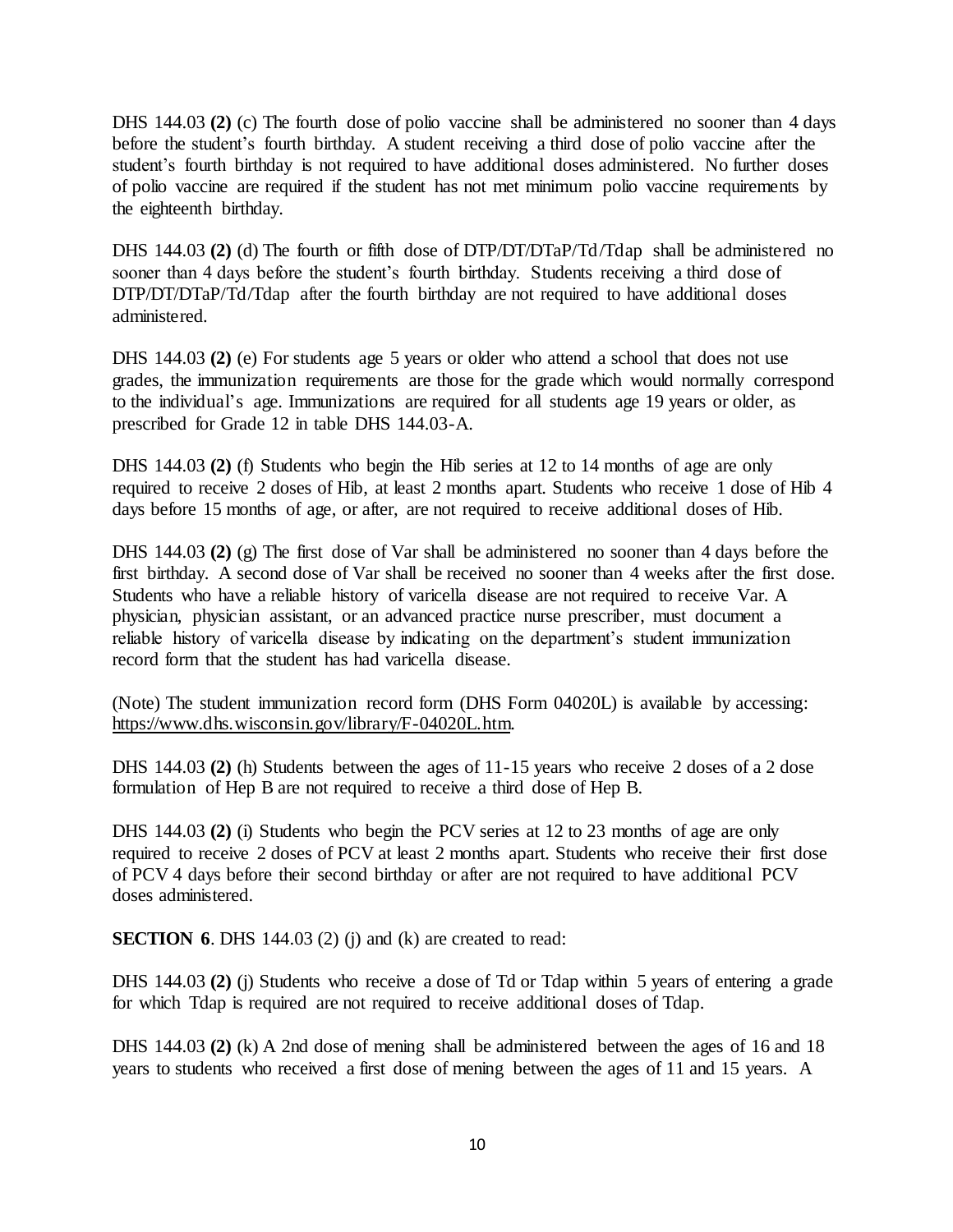DHS 144.03 **(2)** (c) The fourth dose of polio vaccine shall be administered no sooner than 4 days before the student's fourth birthday. A student receiving a third dose of polio vaccine after the student's fourth birthday is not required to have additional doses administered. No further doses of polio vaccine are required if the student has not met minimum polio vaccine requirements by the eighteenth birthday.

DHS 144.03 **(2)** (d) The fourth or fifth dose of DTP/DT/DTaP/Td/Tdap shall be administered no sooner than 4 days before the student's fourth birthday. Students receiving a third dose of DTP/DT/DTaP/Td/Tdap after the fourth birthday are not required to have additional doses administered.

DHS 144.03 **(2)** (e) For students age 5 years or older who attend a school that does not use grades, the immunization requirements are those for the grade which would normally correspond to the individual's age. Immunizations are required for all students age 19 years or older, as prescribed for Grade 12 in table DHS 144.03-A.

DHS 144.03 **(2)** (f) Students who begin the Hib series at 12 to 14 months of age are only required to receive 2 doses of Hib, at least 2 months apart. Students who receive 1 dose of Hib 4 days before 15 months of age, or after, are not required to receive additional doses of Hib.

DHS 144.03 **(2)** (g) The first dose of Var shall be administered no sooner than 4 days before the first birthday. A second dose of Var shall be received no sooner than 4 weeks after the first dose. Students who have a reliable history of varicella disease are not required to receive Var. A physician, physician assistant, or an advanced practice nurse prescriber, must document a reliable history of varicella disease by indicating on the department's student immunization record form that the student has had varicella disease.

(Note) The student immunization record form (DHS Form 04020L) is available by accessing: [https://www.dhs.wisconsin.gov/library/F-04020L.htm.](https://www.dhs.wisconsin.gov/library/F-04020L.htm) 

DHS 144.03 **(2)** (h) Students between the ages of 11-15 years who receive 2 doses of a 2 dose formulation of Hep B are not required to receive a third dose of Hep B.

DHS 144.03 **(2)** (i) Students who begin the PCV series at 12 to 23 months of age are only required to receive 2 doses of PCV at least 2 months apart. Students who receive their first dose of PCV 4 days before their second birthday or after are not required to have additional PCV doses administered.

**SECTION 6.** DHS 144.03 (2) (j) and (k) are created to read:

DHS 144.03 **(2)** (j) Students who receive a dose of Td or Tdap within 5 years of entering a grade for which Tdap is required are not required to receive additional doses of Tdap.

DHS 144.03 **(2)** (k) A 2nd dose of mening shall be administered between the ages of 16 and 18 years to students who received a first dose of mening between the ages of 11 and 15 years. A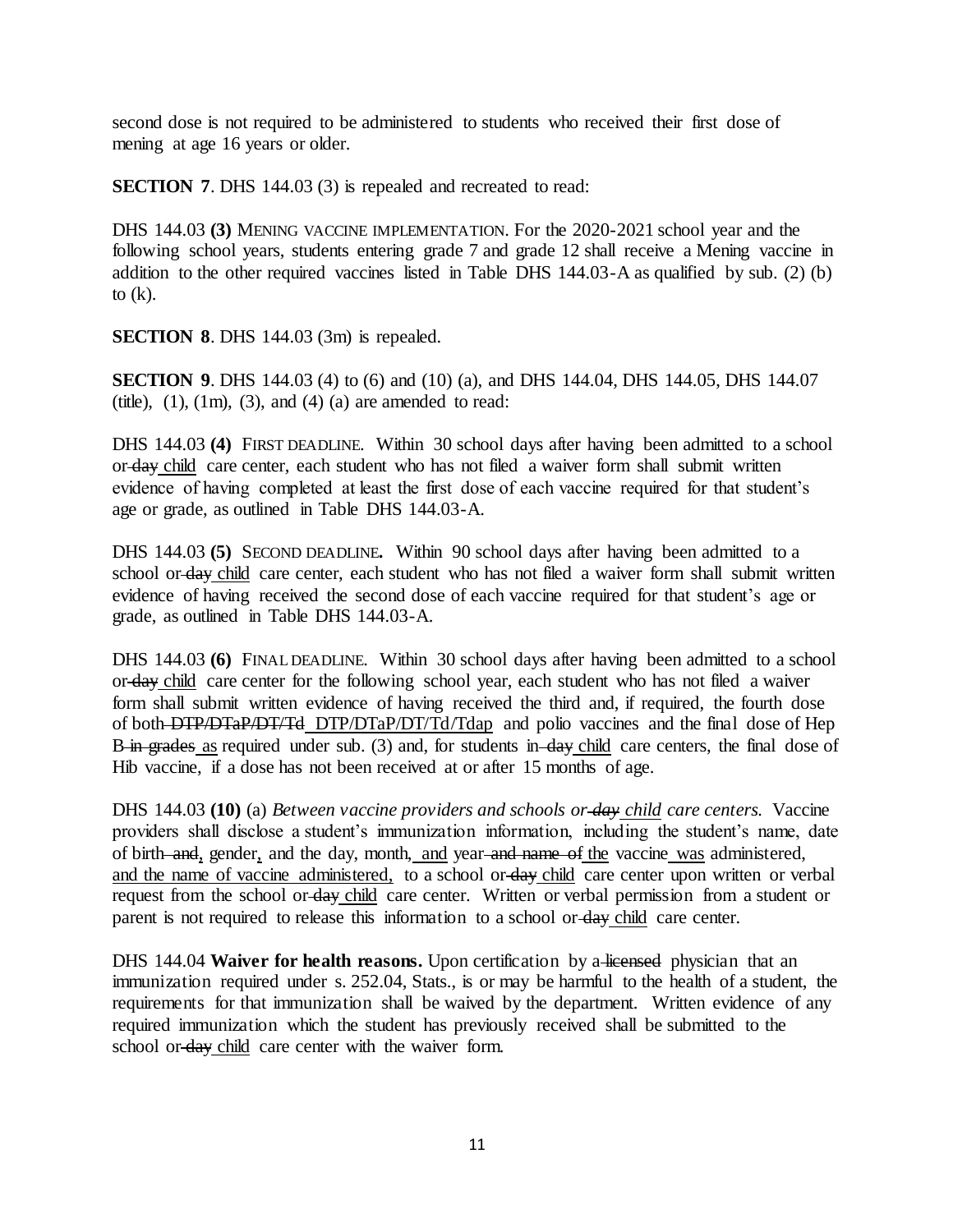second dose is not required to be administered to students who received their first dose of mening at age 16 years or older.

**SECTION 7.** DHS 144.03 (3) is repealed and recreated to read:

DHS 144.03 **(3)** MENING VACCINE IMPLEMENTATION. For the 2020-2021 school year and the following school years, students entering grade 7 and grade 12 shall receive a Mening vaccine in addition to the other required vaccines listed in Table DHS 144.03-A as qualified by sub. [\(2\) \(b\)](https://docs.legis.wisconsin.gov/document/administrativecode/DHS%20144.03(2)(b)) to  $(k)$ .

**SECTION 8. DHS** 144.03 (3m) is repealed.

**SECTION 9.** DHS 144.03 (4) to (6) and (10) (a), and DHS 144.04, DHS 144.05, DHS 144.07 (title),  $(1)$ ,  $(1m)$ ,  $(3)$ , and  $(4)$   $(a)$  are amended to read:

DHS 144.03 **(4)** FIRST DEADLINE. Within 30 school days after having been admitted to a school or day child care center, each student who has not filed a waiver form shall submit written evidence of having completed at least the first dose of each vaccine required for that student's age or grade, as outlined in Table DHS 144.03-A.

DHS 144.03 **(5)** SECOND DEADLINE**.** Within 90 school days after having been admitted to a school or day child care center, each student who has not filed a waiver form shall submit written evidence of having received the second dose of each vaccine required for that student's age or grade, as outlined in Table DHS 144.03-A.

DHS 144.03 (6) FINAL DEADLINE. Within 30 school days after having been admitted to a school or day child care center for the following school year, each student who has not filed a waiver form shall submit written evidence of having received the third and, if required, the fourth dose of both DTP/DTaP/DT/Td DTP/DTaP/DT/Td/Tdap and polio vaccines and the final dose of Hep B in grades as required under sub. (3) and, for students in day child care centers, the final dose of Hib vaccine, if a dose has not been received at or after 15 months of age.

DHS 144.03 **(10)** (a) *Between vaccine providers and schools or day child care centers.* Vaccine providers shall disclose a student's immunization information, including the student's name, date of birth and, gender, and the day, month, and year and name of the vaccine was administered, and the name of vaccine administered, to a school or day child care center upon written or verbal request from the school or day child care center. Written or verbal permission from a student or parent is not required to release this information to a school or day child care center.

DHS 144.04 **Waiver for health reasons.** Upon certification by a licensed physician that an immunization required under s. 252.04, Stats., is or may be harmful to the health of a student, the requirements for that immunization shall be waived by the department. Written evidence of any required immunization which the student has previously received shall be submitted to the school or-day child care center with the waiver form.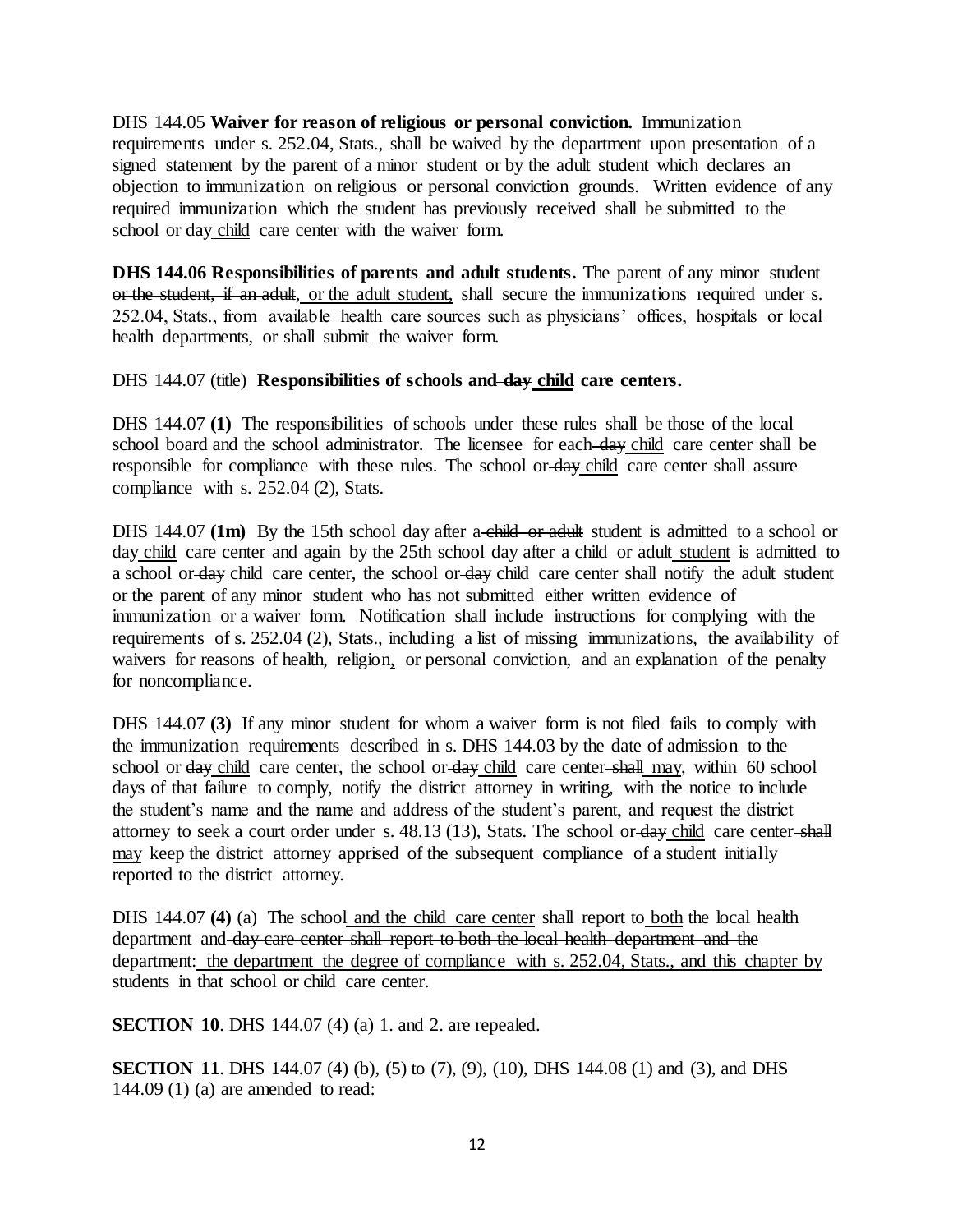DHS 144.05 **Waiver for reason of religious or personal conviction.** Immunization requirements under s. 252.04, Stats., shall be waived by the department upon presentation of a signed statement by the parent of a minor student or by the adult student which declares an objection to immunization on religious or personal conviction grounds. Written evidence of any required immunization which the student has previously received shall be submitted to the school or day child care center with the waiver form.

**DHS 144.06 Responsibilities of parents and adult students.** The parent of any minor student or the student, if an adult, or the adult student, shall secure the immunizations required under s. 252.04, Stats., from available health care sources such as physicians' offices, hospitals or local health departments, or shall submit the waiver form.

### DHS 144.07 (title) **Responsibilities of schools and day child care centers.**

DHS 144.07 **(1)** The responsibilities of schools under these rules shall be those of the local school board and the school administrator. The licensee for each day child care center shall be responsible for compliance with these rules. The school or day child care center shall assure compliance with s. 252.04 (2), Stats.

DHS 144.07 (1m) By the 15th school day after a child or adult student is admitted to a school or day child care center and again by the 25th school day after a child or adult student is admitted to a school or day child care center, the school or day child care center shall notify the adult student or the parent of any minor student who has not submitted either written evidence of immunization or a waiver form. Notification shall include instructions for complying with the requirements of s. 252.04 (2), Stats., including a list of missing immunizations, the availability of waivers for reasons of health, religion, or personal conviction, and an explanation of the penalty for noncompliance.

DHS 144.07 **(3)** If any minor student for whom a waiver form is not filed fails to comply with the immunization requirements described in s. DHS 144.03 by the date of admission to the school or day child care center, the school or day child care center shall may, within 60 school days of that failure to comply, notify the district attorney in writing, with the notice to include the student's name and the name and address of the student's parent, and request the district attorney to seek a court order under s. 48.13 (13), Stats. The school or day child care center shall may keep the district attorney apprised of the subsequent compliance of a student initially reported to the district attorney.

DHS 144.07 **(4)** (a) The school and the child care center shall report to both the local health department and day care center shall report to both the local health department and the department: the department the degree of compliance with s. 252.04, Stats., and this chapter by students in that school or child care center.

**SECTION 10.** DHS 144.07 (4) (a) 1. and 2. are repealed.

**SECTION 11**. DHS 144.07 (4) (b), (5) to (7), (9), (10), DHS 144.08 (1) and (3), and DHS 144.09 (1) (a) are amended to read: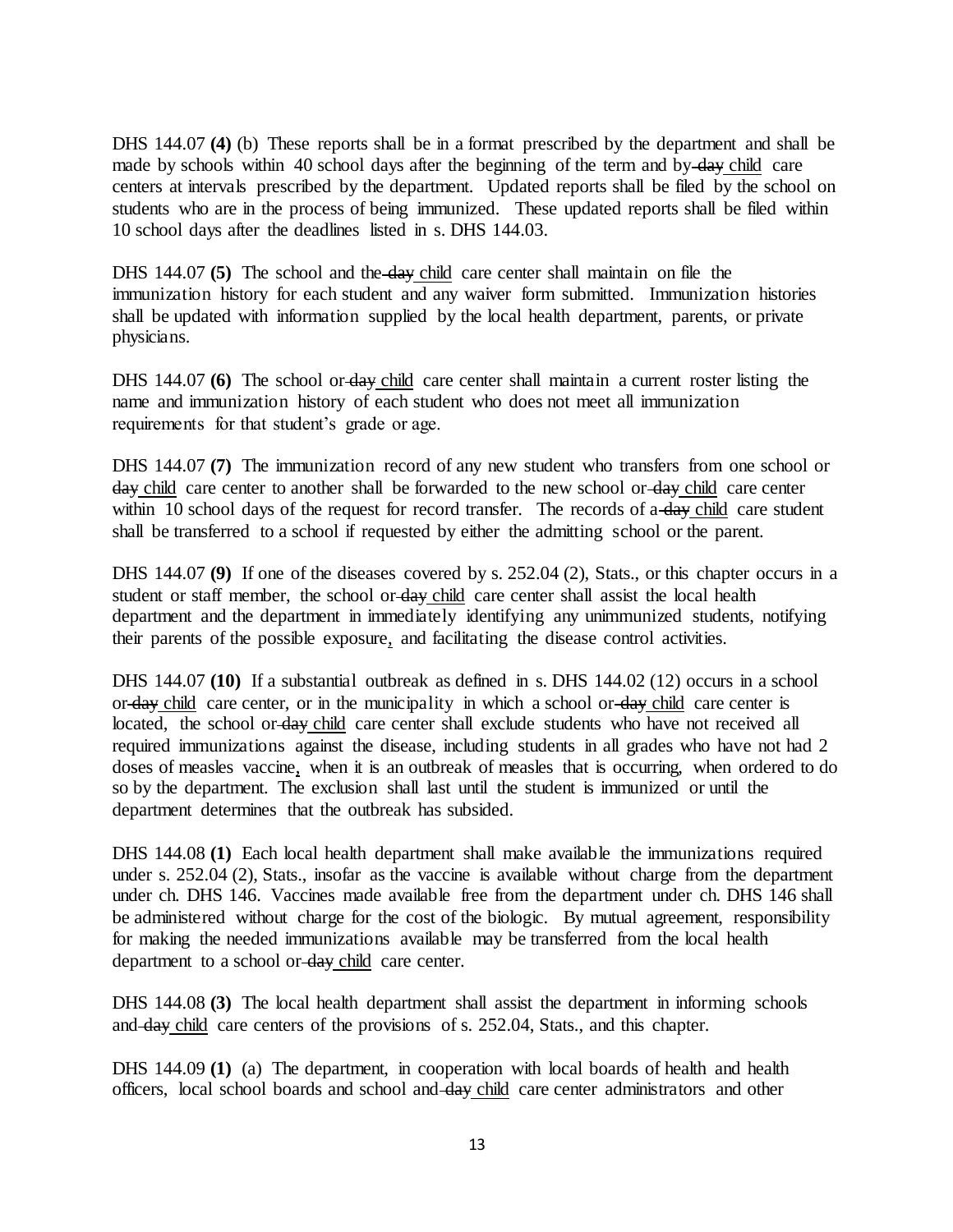DHS 144.07 **(4)** (b) These reports shall be in a format prescribed by the department and shall be made by schools within 40 school days after the beginning of the term and by- $\frac{day}{dx}$  child care centers at intervals prescribed by the department. Updated reports shall be filed by the school on students who are in the process of being immunized. These updated reports shall be filed within 10 school days after the deadlines listed in s. DHS 144.03.

DHS 144.07 **(5)** The school and the day child care center shall maintain on file the immunization history for each student and any waiver form submitted. Immunization histories shall be updated with information supplied by the local health department, parents, or private physicians.

DHS 144.07 **(6)** The school or day child care center shall maintain a current roster listing the name and immunization history of each student who does not meet all immunization requirements for that student's grade or age.

DHS 144.07 **(7)** The immunization record of any new student who transfers from one school or day child care center to another shall be forwarded to the new school or day child care center within 10 school days of the request for record transfer. The records of a day child care student shall be transferred to a school if requested by either the admitting school or the parent.

DHS 144.07 (9) If one of the diseases covered by s. 252.04 (2), Stats., or this chapter occurs in a student or staff member, the school or day child care center shall assist the local health department and the department in immediately identifying any unimmunized students, notifying their parents of the possible exposure, and facilitating the disease control activities.

DHS 144.07 **(10)** If a substantial outbreak as defined in s. DHS 144.02 (12) occurs in a school or day child care center, or in the municipality in which a school or day child care center is located, the school or day child care center shall exclude students who have not received all required immunizations against the disease, including students in all grades who have not had 2 doses of measles vaccine, when it is an outbreak of measles that is occurring, when ordered to do so by the department. The exclusion shall last until the student is immunized or until the department determines that the outbreak has subsided.

DHS 144.08 **(1)** Each local health department shall make available the immunizations required under s. 252.04 (2), Stats., insofar as the vaccine is available without charge from the department under ch. DHS 146. Vaccines made available free from the department under ch. DHS 146 shall be administered without charge for the cost of the biologic. By mutual agreement, responsibility for making the needed immunizations available may be transferred from the local health department to a school or day child care center.

DHS 144.08 **(3)** The local health department shall assist the department in informing schools and day child care centers of the provisions of s. 252.04, Stats., and this chapter.

DHS 144.09 **(1)** (a) The department, in cooperation with local boards of health and health officers, local school boards and school and day child care center administrators and other